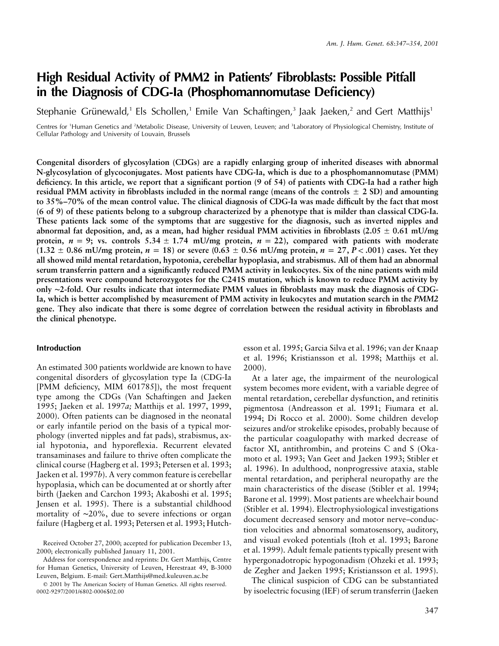# **High Residual Activity of PMM2 in Patients' Fibroblasts: Possible Pitfall in the Diagnosis of CDG-Ia (Phosphomannomutase Deficiency)**

Stephanie Grünewald,<sup>1</sup> Els Schollen,<sup>1</sup> Emile Van Schaftingen,<sup>3</sup> Jaak Jaeken,<sup>2</sup> and Gert Matthijs<sup>1</sup>

Centres for 'Human Genetics and <sup>2</sup>Metabolic Disease, University of Leuven, Leuven; and <sup>3</sup>Laboratory of Physiological Chemistry, Institute of Cellular Pathology and University of Louvain, Brussels

**Congenital disorders of glycosylation (CDGs) are a rapidly enlarging group of inherited diseases with abnormal N-glycosylation of glycoconjugates. Most patients have CDG-Ia, which is due to a phosphomannomutase (PMM) deficiency. In this article, we report that a significant portion (9 of 54) of patients with CDG-Ia had a rather high** residual PMM activity in fibroblasts included in the normal range (means of the controls  $\pm$  2 SD) and amounting **to 35%–70% of the mean control value. The clinical diagnosis of CDG-Ia was made difficult by the fact that most (6 of 9) of these patients belong to a subgroup characterized by a phenotype that is milder than classical CDG-Ia. These patients lack some of the symptoms that are suggestive for the diagnosis, such as inverted nipples and abnormal fat deposition, and, as a mean, had higher residual PMM activities in fibroblasts (2.05**  $\pm$  **0.61 mU/mg protein,**  $n = 9$ **; vs. controls 5.34**  $\pm$  1.74 *mU/mg protein, n = 22***), compared with patients with moderate**  $(1.32 \pm 0.86 \text{ mU/mg protein}, n = 18)$  or severe  $(0.63 \pm 0.56 \text{ mU/mg protein}, n = 27, P < .001)$  cases. Yet they **all showed mild mental retardation, hypotonia, cerebellar hypoplasia, and strabismus. All of them had an abnormal serum transferrin pattern and a significantly reduced PMM activity in leukocytes. Six of the nine patients with mild presentations were compound heterozygotes for the C241S mutation, which is known to reduce PMM activity by only** ∼**2-fold. Our results indicate that intermediate PMM values in fibroblasts may mask the diagnosis of CDG-Ia, which is better accomplished by measurement of PMM activity in leukocytes and mutation search in the** *PMM2* **gene. They also indicate that there is some degree of correlation between the residual activity in fibroblasts and the clinical phenotype.**

### **Introduction**

An estimated 300 patients worldwide are known to have congenital disorders of glycosylation type Ia (CDG-Ia [PMM deficiency, MIM 601785]), the most frequent type among the CDGs (Van Schaftingen and Jaeken 1995; Jaeken et al. 1997*a;* Matthijs et al. 1997, 1999, 2000). Often patients can be diagnosed in the neonatal or early infantile period on the basis of a typical morphology (inverted nipples and fat pads), strabismus, axial hypotonia, and hyporeflexia. Recurrent elevated transaminases and failure to thrive often complicate the clinical course (Hagberg et al. 1993; Petersen et al. 1993; Jaeken et al. 1997*b*). A very common feature is cerebellar hypoplasia, which can be documented at or shortly after birth (Jaeken and Carchon 1993; Akaboshi et al. 1995; Jensen et al. 1995). There is a substantial childhood mortality of ∼20%, due to severe infections or organ failure (Hagberg et al. 1993; Petersen et al. 1993; Hutch-

Address for correspondence and reprints: Dr. Gert Matthijs, Centre for Human Genetics, University of Leuven, Herestraat 49, B-3000 Leuven, Belgium. E-mail: Gert.Matthijs@med.kuleuven.ac.be

esson et al. 1995; Garcia Silva et al. 1996; van der Knaap et al. 1996; Kristiansson et al. 1998; Matthijs et al. 2000).

At a later age, the impairment of the neurological system becomes more evident, with a variable degree of mental retardation, cerebellar dysfunction, and retinitis pigmentosa (Andreasson et al. 1991; Fiumara et al. 1994; Di Rocco et al. 2000). Some children develop seizures and/or strokelike episodes, probably because of the particular coagulopathy with marked decrease of factor XI, antithrombin, and proteins C and S (Okamoto et al. 1993; Van Geet and Jaeken 1993; Stibler et al. 1996). In adulthood, nonprogressive ataxia, stable mental retardation, and peripheral neuropathy are the main characteristics of the disease (Stibler et al. 1994; Barone et al. 1999). Most patients are wheelchair bound (Stibler et al. 1994). Electrophysiological investigations document decreased sensory and motor nerve–conduction velocities and abnormal somatosensory, auditory, and visual evoked potentials (Itoh et al. 1993; Barone et al. 1999). Adult female patients typically present with hypergonadotropic hypogonadism (Ohzeki et al. 1993; de Zegher and Jaeken 1995; Kristiansson et al. 1995).

The clinical suspicion of CDG can be substantiated by isoelectric focusing (IEF) of serum transferrin (Jaeken

Received October 27, 2000; accepted for publication December 13, 2000; electronically published January 11, 2001.

 $Q$  2001 by The American Society of Human Genetics. All rights reserved. 0002-9297/2001/6802-0006\$02.00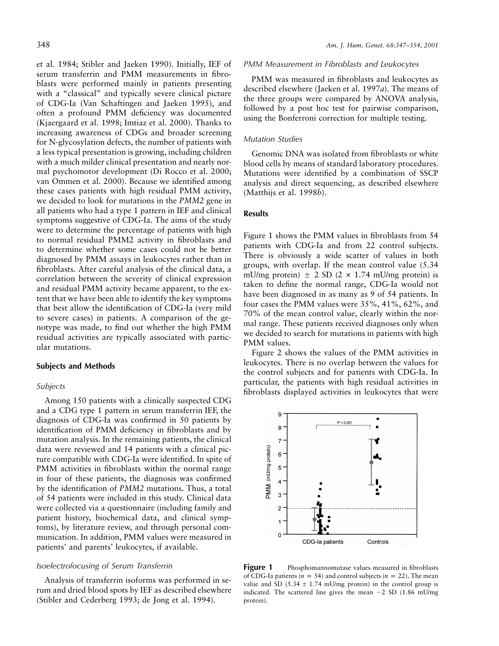et al. 1984; Stibler and Jaeken 1990). Initially, IEF of serum transferrin and PMM measurements in fibroblasts were performed mainly in patients presenting with a "classical" and typically severe clinical picture of CDG-Ia (Van Schaftingen and Jaeken 1995), and often a profound PMM deficiency was documented (Kjaergaard et al. 1998; Imtiaz et al. 2000). Thanks to increasing awareness of CDGs and broader screening for N-glycosylation defects, the number of patients with a less typical presentation is growing, including children with a much milder clinical presentation and nearly normal psychomotor development (Di Rocco et al. 2000; van Ommen et al. 2000). Because we identified among these cases patients with high residual PMM activity, we decided to look for mutations in the *PMM2* gene in all patients who had a type 1 pattern in IEF and clinical symptoms suggestive of CDG-Ia. The aims of the study were to determine the percentage of patients with high to normal residual PMM2 activity in fibroblasts and to determine whether some cases could not be better diagnosed by PMM assays in leukocytes rather than in fibroblasts. After careful analysis of the clinical data, a correlation between the severity of clinical expression and residual PMM activity became apparent, to the extent that we have been able to identify the key symptoms that best allow the identification of CDG-Ia (very mild to severe cases) in patients. A comparison of the genotype was made, to find out whether the high PMM residual activities are typically associated with particular mutations.

#### **Subjects and Methods**

#### *Subjects*

Among 150 patients with a clinically suspected CDG and a CDG type 1 pattern in serum transferrin IEF, the diagnosis of CDG-Ia was confirmed in 50 patients by identification of PMM deficiency in fibroblasts and by mutation analysis. In the remaining patients, the clinical data were reviewed and 14 patients with a clinical picture compatible with CDG-Ia were identified. In spite of PMM activities in fibroblasts within the normal range in four of these patients, the diagnosis was confirmed by the identification of *PMM2* mutations. Thus, a total of 54 patients were included in this study. Clinical data were collected via a questionnaire (including family and patient history, biochemical data, and clinical symptoms), by literature review, and through personal communication. In addition, PMM values were measured in patients' and parents' leukocytes, if available.

# *Isoelectrofocusing of Serum Transferrin*

Analysis of transferrin isoforms was performed in serum and dried blood spots by IEF as described elsewhere (Stibler and Cederberg 1993; de Jong et al. 1994).

#### *PMM Measurement in Fibroblasts and Leukocytes*

PMM was measured in fibroblasts and leukocytes as described elsewhere (Jaeken et al. 1997*a*). The means of the three groups were compared by ANOVA analysis, followed by a post hoc test for pairwise comparison, using the Bonferroni correction for multiple testing.

#### *Mutation Studies*

Genomic DNA was isolated from fibroblasts or white blood cells by means of standard laboratory procedures. Mutations were identified by a combination of SSCP analysis and direct sequencing, as described elsewhere (Matthijs et al. 1998*b*).

#### **Results**

Figure 1 shows the PMM values in fibroblasts from 54 patients with CDG-Ia and from 22 control subjects. There is obviously a wide scatter of values in both groups, with overlap. If the mean control value (5.34 mU/mg protein)  $\pm$  2 SD (2  $\times$  1.74 mU/mg protein) is taken to define the normal range, CDG-Ia would not have been diagnosed in as many as 9 of 54 patients. In four cases the PMM values were 35%, 41%, 62%, and 70% of the mean control value, clearly within the normal range. These patients received diagnoses only when we decided to search for mutations in patients with high PMM values.

Figure 2 shows the values of the PMM activities in leukocytes. There is no overlap between the values for the control subjects and for patients with CDG-Ia. In particular, the patients with high residual activities in fibroblasts displayed activities in leukocytes that were



**Figure 1** Phosphomannomutase values measured in fibroblasts of CDG-Ia patients ( $n = 54$ ) and control subjects ( $n = 22$ ). The mean value and SD (5.34  $\pm$  1.74 mU/mg protein) in the control group is indicated. The scattered line gives the mean  $-2$  SD (1.86 mU/mg protein).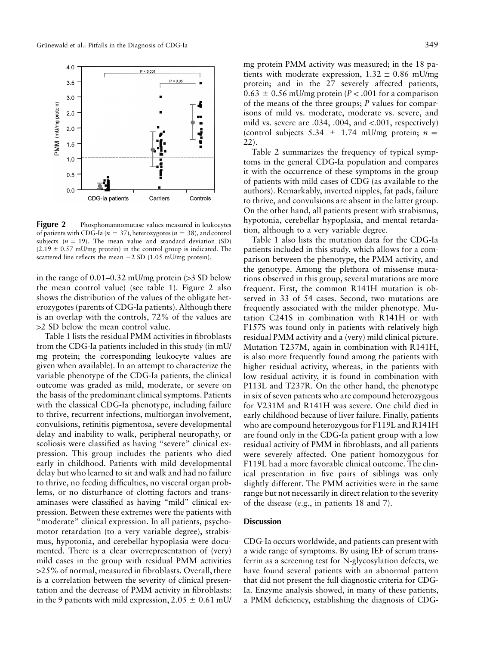

**Figure 2** Phosphomannomutase values measured in leukocytes of patients with CDG-Ia ( $n = 37$ ), heterozygotes ( $n = 38$ ), and control subjects  $(n = 19)$ . The mean value and standard deviation (SD)  $(2.19 \pm 0.57 \text{ mU/mg protein})$  in the control group is indicated. The scattered line reflects the mean  $-2$  SD (1.05 mU/mg protein).

in the range of  $0.01-0.32$  mU/mg protein ( $>3$  SD below the mean control value) (see table 1). Figure 2 also shows the distribution of the values of the obligate heterozygotes (parents of CDG-Ia patients). Although there is an overlap with the controls, 72% of the values are  $>2$  SD below the mean control value.

Table 1 lists the residual PMM activities in fibroblasts from the CDG-Ia patients included in this study (in mU/ mg protein; the corresponding leukocyte values are given when available). In an attempt to characterize the variable phenotype of the CDG-Ia patients, the clinical outcome was graded as mild, moderate, or severe on the basis of the predominant clinical symptoms. Patients with the classical CDG-Ia phenotype, including failure to thrive, recurrent infections, multiorgan involvement, convulsions, retinitis pigmentosa, severe developmental delay and inability to walk, peripheral neuropathy, or scoliosis were classified as having "severe" clinical expression. This group includes the patients who died early in childhood. Patients with mild developmental delay but who learned to sit and walk and had no failure to thrive, no feeding difficulties, no visceral organ problems, or no disturbance of clotting factors and transaminases were classified as having "mild" clinical expression. Between these extremes were the patients with "moderate" clinical expression. In all patients, psychomotor retardation (to a very variable degree), strabismus, hypotonia, and cerebellar hypoplasia were documented. There is a clear overrepresentation of (very) mild cases in the group with residual PMM activities  $>25\%$  of normal, measured in fibroblasts. Overall, there is a correlation between the severity of clinical presentation and the decrease of PMM activity in fibroblasts: in the 9 patients with mild expression,  $2.05 \pm 0.61$  mU/

mg protein PMM activity was measured; in the 18 patients with moderate expression,  $1.32 \pm 0.86$  mU/mg protein; and in the 27 severely affected patients,  $0.63 \pm 0.56$  mU/mg protein ( $P < .001$  for a comparison of the means of the three groups; *P* values for comparisons of mild vs. moderate, moderate vs. severe, and mild vs. severe are  $.034, .004,$  and  $\lt.001$ , respectively) (control subjects 5.34  $\pm$  1.74 mU/mg protein; *n* = 22).

Table 2 summarizes the frequency of typical symptoms in the general CDG-Ia population and compares it with the occurrence of these symptoms in the group of patients with mild cases of CDG (as available to the authors). Remarkably, inverted nipples, fat pads, failure to thrive, and convulsions are absent in the latter group. On the other hand, all patients present with strabismus, hypotonia, cerebellar hypoplasia, and mental retardation, although to a very variable degree.

Table 1 also lists the mutation data for the CDG-Ia patients included in this study, which allows for a comparison between the phenotype, the PMM activity, and the genotype. Among the plethora of missense mutations observed in this group, several mutations are more frequent. First, the common R141H mutation is observed in 33 of 54 cases. Second, two mutations are frequently associated with the milder phenotype. Mutation C241S in combination with R141H or with F157S was found only in patients with relatively high residual PMM activity and a (very) mild clinical picture. Mutation T237M, again in combination with R141H, is also more frequently found among the patients with higher residual activity, whereas, in the patients with low residual activity, it is found in combination with P113L and T237R. On the other hand, the phenotype in six of seven patients who are compound heterozygous for V231M and R141H was severe. One child died in early childhood because of liver failure. Finally, patients who are compound heterozygous for F119L and R141H are found only in the CDG-Ia patient group with a low residual activity of PMM in fibroblasts, and all patients were severely affected. One patient homozygous for F119L had a more favorable clinical outcome. The clinical presentation in five pairs of siblings was only slightly different. The PMM activities were in the same range but not necessarily in direct relation to the severity of the disease (e.g., in patients 18 and 7).

#### **Discussion**

CDG-Ia occurs worldwide, and patients can present with a wide range of symptoms. By using IEF of serum transferrin as a screening test for N-glycosylation defects, we have found several patients with an abnormal pattern that did not present the full diagnostic criteria for CDG-Ia. Enzyme analysis showed, in many of these patients, a PMM deficiency, establishing the diagnosis of CDG-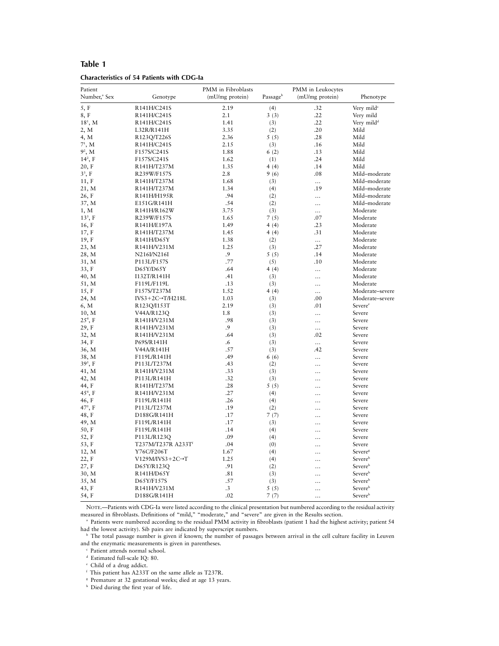# **Table 1**

| <b>Characteristics of 54 Patients with CDG-la</b> |  |  |
|---------------------------------------------------|--|--|
|---------------------------------------------------|--|--|

| Patient                  |                                | PMM in Fibroblasts |          | PMM in Leukocytes |                        |  |  |
|--------------------------|--------------------------------|--------------------|----------|-------------------|------------------------|--|--|
| Number, <sup>a</sup> Sex | Genotype                       | (mU/mg protein)    | Passageb | (mU/mg protein)   | Phenotype              |  |  |
| 5, F                     | R141H/C241S                    | 2.19               | (4)      | .32               | Very mild <sup>c</sup> |  |  |
| 8, F                     | R141H/C241S                    | 2.1                | 3(3)     | .22               | Very mild              |  |  |
| $18^1$ , M               | R141H/C241S                    | 1.41               | (3)      | .22               | Very mild <sup>d</sup> |  |  |
| 2, M                     | L32R/R141H                     | 3.35               | (2)      | .20               | Mild                   |  |  |
| 4, M                     | R123O/T226S                    | 2.36               | 5(5)     | .28               | Mild                   |  |  |
| $7^1$ , M                | R141H/C241S                    | 2.15               | (3)      | .16               | Mild                   |  |  |
| $9^2$ , M                | F157S/C241S                    | 1.88               | 6(2)     | .13               | Mild                   |  |  |
| $14^2$ , F               | F157S/C241S                    | 1.62               | (1)      | .24               | Mild                   |  |  |
| 20, F                    | R141H/T237M                    | 1.35               | 4(4)     | .14               | Mild                   |  |  |
| $33$ , F                 | R239W/F157S                    | 2.8                | 9(6)     | .08               | Mild-moderate          |  |  |
| 11, F                    | R141H/T237M                    | 1.68               | (3)      | $\ldots$          | Mild-moderate          |  |  |
| 21, M                    | R141H/T237M                    | 1.34               | (4)      | .19               | Mild-moderate          |  |  |
| 26, F                    | R141H/H195R                    | .94                | (2)      | $\cdots$          | Mild-moderate          |  |  |
| 37, M                    | E151G/R141H                    | .54                | (2)      | $\ddotsc$         | Mild-moderate          |  |  |
| 1, M                     | R141H/R162W                    | 3.75               | (3)      |                   | Moderate               |  |  |
| $13^3$ , F               | R239W/F157S                    | 1.65               | 7(5)     | .07               | Moderate               |  |  |
| 16, F                    | R141H/E197A                    | 1.49               | 4(4)     | .23               | Moderate               |  |  |
| 17, F                    | R141H/T237M                    | 1.45               | 4(4)     | .31               | Moderate               |  |  |
| 19, F                    | R141H/D65Y                     | 1.38               | (2)      | $\ddotsc$         | Moderate               |  |  |
| 23, M                    | R141H/V231M                    | 1.25               | (3)      | .27               | Moderate               |  |  |
| 28, M                    | N216I/N216I                    | .9                 | 5(5)     | .14               | Moderate               |  |  |
| 31, M                    | P113L/F157S                    | .77                | (5)      | .10               | Moderate               |  |  |
| 33, F                    | D65Y/D65Y                      | .64                | 4(4)     | $\cdots$          | Moderate               |  |  |
| 40, M                    | I132T/R141H                    | .41                | (3)      | .                 | Moderate               |  |  |
| 51, M                    | F119L/F119L                    | .13                | (3)      | .                 | Moderate               |  |  |
| 15, F                    | F157S/T237M                    | 1.52               | 4(4)     |                   | Moderate-severe        |  |  |
| 24, M                    | $IVS3+2C\rightarrow T/H218L$   | 1.03               | (3)      | .00               | Moderate-severe        |  |  |
| 6, M                     | R123Q/I153T                    | 2.19               | (3)      | .01               | Severe <sup>e</sup>    |  |  |
| 10, M                    | V44A/R123Q                     | 1.8                | (3)      |                   | Severe                 |  |  |
| $25^4$ , F               | R141H/V231M                    | .98                | (3)      |                   | Severe                 |  |  |
| 29, F                    | R141H/V231M                    | .9                 | (3)      |                   | Severe                 |  |  |
| 32, M                    | R141H/V231M                    | .64                | (3)      | .02               | Severe                 |  |  |
| 34, F                    | P69S/R141H                     | .6                 | (3)      |                   | Severe                 |  |  |
| 36, M                    | V44A/R141H                     | .57                | (3)      | .42               | Severe                 |  |  |
| 38, M                    | F119L/R141H                    | .49                | 6(6)     | $\cdots$          | Severe                 |  |  |
| $395$ , F                | P113L/T237M                    | .43                | (2)      | .                 | Severe                 |  |  |
| 41, M                    | R141H/V231M                    | .33                | (3)      | .                 | Severe                 |  |  |
| 42, M                    | P113L/R141H                    | .32                | (3)      | .                 | Severe                 |  |  |
| 44, F                    | R141H/T237M                    | .28                | 5(5)     | .                 | Severe                 |  |  |
| $45^4$ , F               | R141H/V231M                    | .27                | (4)      | .                 | Severe                 |  |  |
| 46, F                    | F119L/R141H                    | .26                | (4)      | .                 | Severe                 |  |  |
| $47^5$ , F               | P113L/T237M                    | .19                | (2)      | .                 | Severe                 |  |  |
| 48, F                    | D188G/R141H                    | .17                | 7(7)     | .                 | Severe                 |  |  |
| 49, M                    | F119L/R141H                    | .17                | (3)      |                   | Severe                 |  |  |
| 50, F                    | F119L/R141H                    | .14                | (4)      | $\ddotsc$         | Severe                 |  |  |
| 52, F                    | P113L/R123Q                    | .09                | (4)      |                   | Severe                 |  |  |
| 53, F                    | T237M/T237R A233T <sup>t</sup> | .04                | (0)      | .                 | Severe                 |  |  |
| 12, M                    | Y76C/F206T                     | 1.67               | (4)      | .                 | Severe <sup>s</sup>    |  |  |
| 22, F                    | $V129M/IVS3+2C\rightarrow T$   | 1.25               | (4)      | .                 | Severe <sup>h</sup>    |  |  |
| 27, F                    | D65Y/R123Q                     | .91                | (2)      | .                 | Severe <sup>h</sup>    |  |  |
| 30, M                    | R141H/D65Y                     | .81                | (3)      |                   | Severeh                |  |  |
| 35, M                    | D65Y/F157S                     | .57                | (3)      | .                 | Severeh                |  |  |
| 43, F                    | R141H/V231M                    | $\cdot$ 3          | 5(5)     |                   | Severeh                |  |  |
| 54, F                    | D188G/R141H                    | .02                | 7(7)     | $\ddotsc$         | Severeh                |  |  |

NOTE.—Patients with CDG-Ia were listed according to the clinical presentation but numbered according to the residual activity measured in fibroblasts. Definitions of "mild," "moderate," and "severe" are given in the Results section.

<sup>a</sup> Patients were numbered according to the residual PMM activity in fibroblasts (patient 1 had the highest activity; patient 54 had the lowest activity). Sib pairs are indicated by superscript numbers.

<sup>b</sup> The total passage number is given if known; the number of passages between arrival in the cell culture facility in Leuven and the enzymatic measurements is given in parentheses.

 $\,^{\mathrm{c}}$  Patient attends normal school.

<sup>d</sup> Estimated full-scale IQ: 80.

<sup>e</sup> Child of a drug addict.

<sup>f</sup> This patient has A233T on the same allele as T237R.

<sup>g</sup> Premature at 32 gestational weeks; died at age 13 years.

h Died during the first year of life.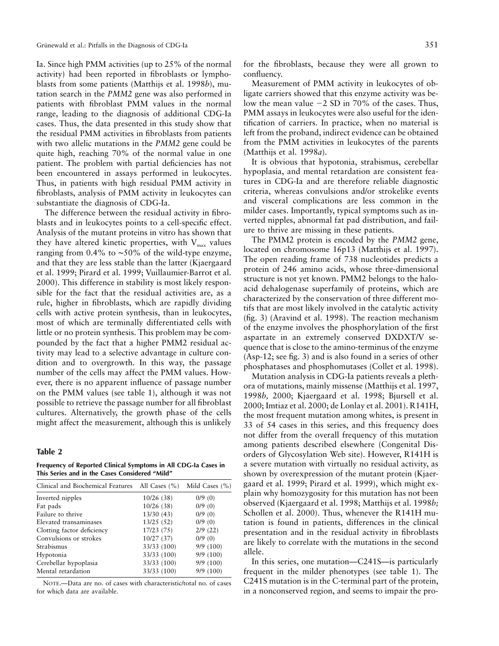Ia. Since high PMM activities (up to 25% of the normal activity) had been reported in fibroblasts or lymphoblasts from some patients (Matthijs et al. 1998*b*), mutation search in the *PMM2* gene was also performed in patients with fibroblast PMM values in the normal range, leading to the diagnosis of additional CDG-Ia cases. Thus, the data presented in this study show that the residual PMM activities in fibroblasts from patients with two allelic mutations in the *PMM2* gene could be quite high, reaching 70% of the normal value in one patient. The problem with partial deficiencies has not been encountered in assays performed in leukocytes. Thus, in patients with high residual PMM activity in fibroblasts, analysis of PMM activity in leukocytes can substantiate the diagnosis of CDG-Ia.

The difference between the residual activity in fibroblasts and in leukocytes points to a cell-specific effect. Analysis of the mutant proteins in vitro has shown that they have altered kinetic properties, with  $V_{\text{max}}$  values ranging from 0.4% to ∼50% of the wild-type enzyme, and that they are less stable than the latter (Kjaergaard et al. 1999; Pirard et al. 1999; Vuillaumier-Barrot et al. 2000). This difference in stability is most likely responsible for the fact that the residual activities are, as a rule, higher in fibroblasts, which are rapidly dividing cells with active protein synthesis, than in leukocytes, most of which are terminally differentiated cells with little or no protein synthesis. This problem may be compounded by the fact that a higher PMM2 residual activity may lead to a selective advantage in culture condition and to overgrowth. In this way, the passage number of the cells may affect the PMM values. However, there is no apparent influence of passage number on the PMM values (see table 1), although it was not possible to retrieve the passage number for all fibroblast cultures. Alternatively, the growth phase of the cells might affect the measurement, although this is unlikely

#### **Table 2**

**Frequency of Reported Clinical Symptoms in All CDG-Ia Cases in This Series and in the Cases Considered "Mild"**

| Clinical and Biochemical Features All Cases (%) |             | Mild Cases $(\% )$ |  |  |  |  |
|-------------------------------------------------|-------------|--------------------|--|--|--|--|
| Inverted nipples                                | 10/26(38)   | 0/9(0)             |  |  |  |  |
| Fat pads                                        | 10/26(38)   | 0/9(0)             |  |  |  |  |
| Failure to thrive                               | 13/30(43)   | 0/9(0)             |  |  |  |  |
| Elevated transaminases                          | 13/25(52)   | 0/9(0)             |  |  |  |  |
| Clotting factor deficiency                      | 17/23 (75)  | 2/9(22)            |  |  |  |  |
| Convulsions or strokes                          | 10/27(37)   | 0/9(0)             |  |  |  |  |
| Strabismus                                      | 33/33 (100) | 9/9(100)           |  |  |  |  |
| Hypotonia                                       | 33/33 (100) | 9/9(100)           |  |  |  |  |
| Cerebellar hypoplasia                           | 33/33 (100) | 9/9(100)           |  |  |  |  |
| Mental retardation                              | 33/33 (100) | 9/9(100)           |  |  |  |  |

NOTE.—Data are no. of cases with characteristic/total no. of cases for which data are available.

for the fibroblasts, because they were all grown to confluency.

Measurement of PMM activity in leukocytes of obligate carriers showed that this enzyme activity was below the mean value  $-2$  SD in 70% of the cases. Thus, PMM assays in leukocytes were also useful for the identification of carriers. In practice, when no material is left from the proband, indirect evidence can be obtained from the PMM activities in leukocytes of the parents (Matthijs et al. 1998*a*).

It is obvious that hypotonia, strabismus, cerebellar hypoplasia, and mental retardation are consistent features in CDG-Ia and are therefore reliable diagnostic criteria, whereas convulsions and/or strokelike events and visceral complications are less common in the milder cases. Importantly, typical symptoms such as inverted nipples, abnormal fat pad distribution, and failure to thrive are missing in these patients.

The PMM2 protein is encoded by the *PMM2* gene, located on chromosome 16p13 (Matthijs et al. 1997). The open reading frame of 738 nucleotides predicts a protein of 246 amino acids, whose three-dimensional structure is not yet known. PMM2 belongs to the haloacid dehalogenase superfamily of proteins, which are characterized by the conservation of three different motifs that are most likely involved in the catalytic activity (fig. 3) (Aravind et al. 1998). The reaction mechanism of the enzyme involves the phosphorylation of the first aspartate in an extremely conserved DXDXT/V sequence that is close to the amino-terminus of the enzyme (Asp-12; see fig. 3) and is also found in a series of other phosphatases and phosphomutases (Collet et al. 1998).

Mutation analysis in CDG-Ia patients reveals a plethora of mutations, mainly missense (Matthijs et al. 1997, 1998*b,* 2000; Kjaergaard et al. 1998; Bjursell et al. 2000; Imtiaz et al. 2000; de Lonlay et al. 2001). R141H, the most frequent mutation among whites, is present in 33 of 54 cases in this series, and this frequency does not differ from the overall frequency of this mutation among patients described elsewhere (Congenital Disorders of Glycosylation Web site). However, R141H is a severe mutation with virtually no residual activity, as shown by overexpression of the mutant protein (Kjaergaard et al. 1999; Pirard et al. 1999), which might explain why homozygosity for this mutation has not been observed (Kjaergaard et al. 1998; Matthijs et al. 1998*b;* Schollen et al. 2000). Thus, whenever the R141H mutation is found in patients, differences in the clinical presentation and in the residual activity in fibroblasts are likely to correlate with the mutations in the second allele.

In this series, one mutation—C241S—is particularly frequent in the milder phenotypes (see table 1). The C241S mutation is in the C-terminal part of the protein, in a nonconserved region, and seems to impair the pro-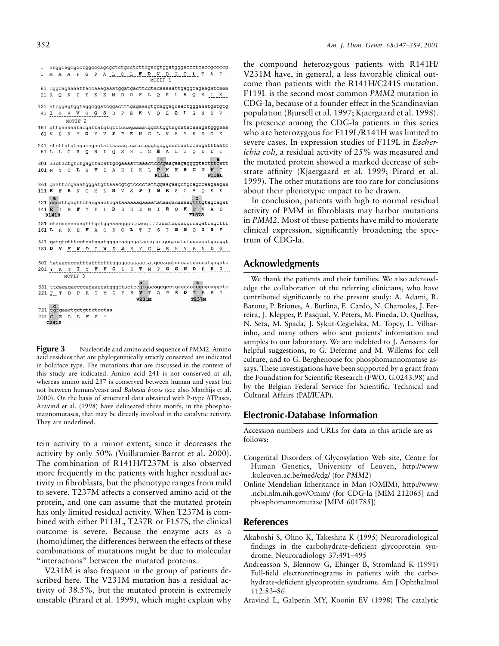| 1                                           |                                                                              |   |   |                    |       |                                |          |   |       |   |       |         |              |         |   |     |                                            |     |              | atggcagcgcctggcccagcgctctgcctcttcgacgtggatgggaccctcaccgccccg     |  |
|---------------------------------------------|------------------------------------------------------------------------------|---|---|--------------------|-------|--------------------------------|----------|---|-------|---|-------|---------|--------------|---------|---|-----|--------------------------------------------|-----|--------------|------------------------------------------------------------------|--|
| 1                                           | М                                                                            | A |   |                    | A P G |                                |          |   |       |   |       |         |              |         |   |     | P A L C L F D V D G T L T                  |     | Α            | P                                                                |  |
|                                             |                                                                              |   |   |                    |       |                                |          |   |       |   |       |         |              | MOTIF 1 |   |     |                                            |     |              |                                                                  |  |
|                                             |                                                                              |   |   |                    |       |                                |          |   |       |   |       |         |              |         |   |     |                                            |     |              | 61 cggcagaaaattaccaaagaaatggatgacttcctacaaaaattgaggcagaagatcaaa  |  |
|                                             |                                                                              |   |   |                    |       |                                |          |   |       |   |       |         |              |         |   |     |                                            |     |              |                                                                  |  |
|                                             | 21 R O K                                                                     |   |   | I                  | T     | К                              | E        | м | D     | D |       |         |              |         |   |     | F L O K L R O                              |     | K I K        |                                                                  |  |
|                                             |                                                                              |   |   |                    |       |                                |          |   |       |   |       |         |              |         |   |     |                                            |     |              |                                                                  |  |
|                                             |                                                                              |   |   |                    |       |                                |          |   |       |   |       |         |              |         |   |     |                                            |     |              | 121 atcqqaqtqqtaqqcqqatcqqactttgagaaagtgcaggagcaactgggaaatgatgtg |  |
|                                             |                                                                              |   |   |                    |       | 41 I G V V G G S D F E K V Q E |          |   |       |   |       |         |              |         | Q |     | L G                                        | N   | D            | V                                                                |  |
|                                             | MOTIF <sub>2</sub>                                                           |   |   |                    |       |                                |          |   |       |   |       |         |              |         |   |     |                                            |     |              |                                                                  |  |
|                                             | 181 gttgaaaaatacgattatgtgtttccagaaaatggcttggtagcatacaaagatgggaaa             |   |   |                    |       |                                |          |   |       |   |       |         |              |         |   |     |                                            |     |              |                                                                  |  |
|                                             |                                                                              |   |   |                    |       |                                |          |   |       |   |       |         |              |         |   |     | 61 V E K Y D Y V F P E N G L V A Y K D G K |     |              |                                                                  |  |
|                                             |                                                                              |   |   |                    |       |                                |          |   |       |   |       |         |              |         |   |     |                                            |     |              |                                                                  |  |
|                                             | 241 ctcttgtgtagacagaatattcaaagtcatctgggtgaggccctaatccaagatttaatc             |   |   |                    |       |                                |          |   |       |   |       |         |              |         |   |     |                                            |     |              |                                                                  |  |
|                                             |                                                                              |   |   |                    |       |                                |          |   |       |   |       |         |              |         |   |     | 81 L L C R Q N I Q S H L G E A L I Q D L   |     |              | Ι                                                                |  |
|                                             |                                                                              |   |   |                    |       |                                |          |   |       |   |       |         |              |         |   |     |                                            |     |              |                                                                  |  |
|                                             | $+$<br>a<br>301 aactactgtctgagctacattgcgaaaattaaactcccgaagaagaggggtactttcatt |   |   |                    |       |                                |          |   |       |   |       |         |              |         |   |     |                                            |     |              |                                                                  |  |
| 101 N Y C L S                               |                                                                              |   |   |                    |       |                                | Y T      |   | A K T |   |       | K L P K |              |         |   | K R | G                                          | т   | $\mathbf{F}$ | ा                                                                |  |
|                                             |                                                                              |   |   |                    |       |                                |          |   |       |   |       |         | <b>P113L</b> |         |   |     |                                            |     | F119L        |                                                                  |  |
|                                             |                                                                              |   |   |                    |       |                                |          |   |       |   |       |         |              |         |   |     |                                            |     |              |                                                                  |  |
|                                             |                                                                              |   |   |                    |       |                                |          |   |       |   |       |         |              |         |   |     |                                            |     |              | 361 gaattccgaaatgggatgttaaacgtgtcccctattggaagaagctgcagccaagaagaa |  |
| 121 E F R N G M L N V S P                   |                                                                              |   |   |                    |       |                                |          |   |       |   |       |         |              |         |   |     | I G R S C S O E                            |     |              | F.                                                               |  |
|                                             | $\blacksquare$                                                               |   |   |                    |       |                                |          |   |       |   |       |         |              |         |   |     |                                            |     |              |                                                                  |  |
|                                             |                                                                              |   |   |                    |       |                                |          |   |       |   |       |         |              |         |   |     |                                            |     |              | 421 cgcattgagttctacgaactcgataaaaaagaaaatataagacaaaagtttgtagcagat |  |
| 141 R I E F Y E L D K K E N I R Q           |                                                                              |   |   |                    |       |                                |          |   |       |   |       |         |              |         |   |     | $K$ $F$ $V$ $A$                            |     |              | D.                                                               |  |
|                                             | <b>R141H</b>                                                                 |   |   |                    |       |                                |          |   |       |   |       |         |              |         |   |     | F157S                                      |     |              |                                                                  |  |
|                                             |                                                                              |   |   |                    |       |                                |          |   |       |   |       |         |              |         |   |     |                                            |     |              |                                                                  |  |
| 161 L R K E F A G K G L T F S I G G O I S F |                                                                              |   |   |                    |       |                                |          |   |       |   |       |         |              |         |   |     |                                            |     |              | 481 ctacggaaagagtttgctggaaaaggcctcacgttttccataggaggccagatcagcttt |  |
|                                             |                                                                              |   |   |                    |       |                                |          |   |       |   |       |         |              |         |   |     |                                            |     |              |                                                                  |  |
|                                             |                                                                              |   |   |                    |       |                                |          |   |       |   |       |         |              |         |   |     |                                            |     |              |                                                                  |  |
|                                             |                                                                              |   |   |                    |       |                                |          |   |       |   |       |         |              |         |   |     |                                            |     |              | 541 gatgtctttcctgatggatgggacaagagatactgtctgcgacatgtggaaaatgacggt |  |
| 181 D V F P D G W D K R Y C L R H V E N D G |                                                                              |   |   |                    |       |                                |          |   |       |   |       |         |              |         |   |     |                                            |     |              |                                                                  |  |
|                                             |                                                                              |   |   |                    |       |                                |          |   |       |   |       |         |              |         |   |     |                                            |     |              |                                                                  |  |
|                                             |                                                                              |   |   |                    |       |                                |          |   |       |   |       |         |              |         |   |     |                                            |     |              | 601 tataagaccatttatttctttggagacaaaactatgccaggtggcaatgaccatgagatc |  |
| 201 Y K T I Y F F G D K T M P G G N D H E I |                                                                              |   |   |                    |       |                                |          |   |       |   |       |         |              |         |   |     |                                            |     |              |                                                                  |  |
|                                             |                                                                              |   |   | MOTIF <sub>3</sub> |       |                                |          |   |       |   |       |         |              |         |   |     |                                            |     |              |                                                                  |  |
|                                             |                                                                              |   |   |                    |       |                                |          |   |       |   |       |         |              |         |   |     |                                            |     |              |                                                                  |  |
|                                             |                                                                              |   |   |                    |       |                                |          |   |       |   |       |         |              |         |   |     | ÷.                                         |     |              | 661 ttcacagaccccagaaccatgggctactccgtgacagcgcctgaggacacgcgcaggatc |  |
| 221 F T D P R T M G Y S V T A P E D         |                                                                              |   |   |                    |       |                                |          |   |       |   |       |         |              |         |   |     |                                            | T R | R            | I                                                                |  |
|                                             |                                                                              |   |   |                    |       |                                |          |   |       |   | V231M |         |              |         |   |     | <b>T237M</b>                               |     |              |                                                                  |  |
|                                             |                                                                              |   |   |                    |       |                                |          |   |       |   |       |         |              |         |   |     |                                            |     |              |                                                                  |  |
| 721 tqtqaactqctqttctcctaa                   | $\epsilon$                                                                   |   |   |                    |       |                                |          |   |       |   |       |         |              |         |   |     |                                            |     |              |                                                                  |  |
|                                             |                                                                              |   |   |                    |       |                                |          |   |       |   |       |         |              |         |   |     |                                            |     |              |                                                                  |  |
|                                             |                                                                              |   |   |                    |       |                                |          |   |       |   |       |         |              |         |   |     |                                            |     |              |                                                                  |  |
| 241 C E                                     | C241S                                                                        |   | L | L                  | F     | S                              | $^\star$ |   |       |   |       |         |              |         |   |     |                                            |     |              |                                                                  |  |

**Figure 3** Nucleotide and amino acid sequence of PMM2. Amino acid residues that are phylogenetically strictly conserved are indicated in boldface type. The mutations that are discussed in the context of this study are indicated. Amino acid 241 is not conserved at all, whereas amino acid 237 is conserved between human and yeast but not between human/yeast and *Babesia bovis* (see also Matthijs et al. 2000). On the basis of structural data obtained with P-type ATPases, Aravind et al. (1998) have delineated three motifs, in the phosphomannomutases, that may be directly involved in the catalytic activity. They are underlined.

tein activity to a minor extent, since it decreases the activity by only 50% (Vuillaumier-Barrot et al. 2000). The combination of R141H/T237M is also observed more frequently in the patients with higher residual activity in fibroblasts, but the phenotype ranges from mild to severe. T237M affects a conserved amino acid of the protein, and one can assume that the mutated protein has only limited residual activity. When T237M is combined with either P113L, T237R or F157S, the clinical outcome is severe. Because the enzyme acts as a (homo)dimer, the differences between the effects of these combinations of mutations might be due to molecular "interactions" between the mutated proteins.

V231M is also frequent in the group of patients described here. The V231M mutation has a residual activity of 38.5%, but the mutated protein is extremely unstable (Pirard et al. 1999), which might explain why

the compound heterozygous patients with R141H/ V231M have, in general, a less favorable clinical outcome than patients with the R141H/C241S mutation. F119L is the second most common *PMM2* mutation in CDG-Ia, because of a founder effect in the Scandinavian population (Bjursell et al. 1997; Kjaergaard et al. 1998). Its presence among the CDG-Ia patients in this series who are heterozygous for F119L/R141H was limited to severe cases. In expression studies of F119L in *Escherichia coli,* a residual activity of 25% was measured and the mutated protein showed a marked decrease of substrate affinity (Kjaergaard et al. 1999; Pirard et al. 1999). The other mutations are too rare for conclusions about their phenotypic impact to be drawn.

In conclusion, patients with high to normal residual activity of PMM in fibroblasts may harbor mutations in *PMM2.* Most of these patients have mild to moderate clinical expression, significantly broadening the spectrum of CDG-Ia.

# **Acknowledgments**

We thank the patients and their families. We also acknowledge the collaboration of the referring clinicians, who have contributed significantly to the present study: A. Adami, R. Barone, P. Briones, A. Burlina, E. Cardo, N. Chamoles, J. Ferreira, J. Klepper, P. Pasqual, V. Peters, M. Pineda, D. Quelhas, N. Seta, M. Spada, J. Sykut-Cegielska, M. Topcy, L. Vilharinho, and many others who sent patients' information and samples to our laboratory. We are indebted to J. Aerssens for helpful suggestions, to G. Deferme and M. Willems for cell culture, and to G. Berghenouse for phosphomannomutase assays. These investigations have been supported by a grant from the Foundation for Scientific Research (FWO, G.0243.98) and by the Belgian Federal Service for Scientific, Technical and Cultural Affairs (PAI/IUAP).

#### **Electronic-Database Information**

Accession numbers and URLs for data in this article are as follows:

- Congenital Disorders of Glycosylation Web site, Centre for Human Genetics, University of Leuven, http://www .kuleuven.ac.be/med/cdg/ (for *PMM2*)
- Online Mendelian Inheritance in Man (OMIM), http://www .ncbi.nlm.nih.gov/Omim/ (for CDG-Ia [MIM 212065] and phosphomannomutase [MIM 601785])

# **References**

- Akaboshi S, Ohno K, Takeshita K (1995) Neuroradiological findings in the carbohydrate-deficient glycoprotein syndrome. Neuroradiology 37:491–495
- Andreasson S, Blennow G, Ehinger B, Stromland K (1991) Full-field electroretinograms in patients with the carbohydrate-deficient glycoprotein syndrome. Am J Ophthalmol 112:83–86
- Aravind L, Galperin MY, Koonin EV (1998) The catalytic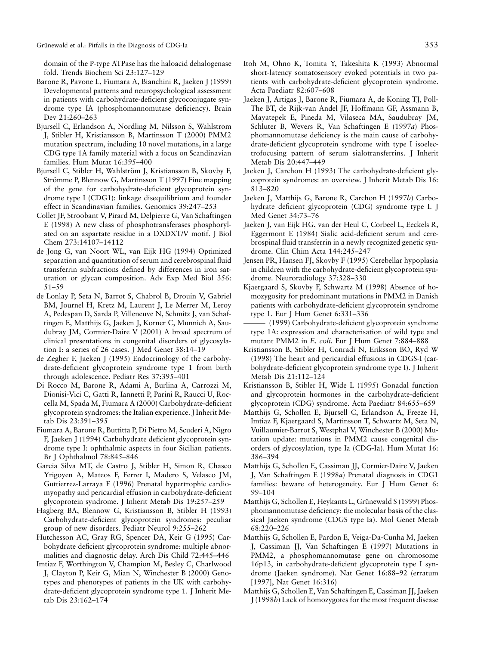domain of the P-type ATPase has the haloacid dehalogenase fold. Trends Biochem Sci 23:127–129

- Barone R, Pavone L, Fiumara A, Bianchini R, Jaeken J (1999) Developmental patterns and neuropsychological assessment in patients with carbohydrate-deficient glycoconjugate syndrome type IA (phosphomannomutase deficiency). Brain Dev 21:260–263
- Bjursell C, Erlandson A, Nordling M, Nilsson S, Wahlstrom J, Stibler H, Kristiansson B, Martinsson T (2000) PMM2 mutation spectrum, including 10 novel mutations, in a large CDG type 1A family material with a focus on Scandinavian families. Hum Mutat 16:395–400
- Bjursell C, Stibler H, Wahlström J, Kristiansson B, Skovby F, Strömme P, Blennow G, Martinsson T (1997) Fine mapping of the gene for carbohydrate-deficient glycoprotein syndrome type I (CDG1): linkage disequilibrium and founder effect in Scandinavian families. Genomics 39:247–253
- Collet JF, Stroobant V, Pirard M, Delpierre G, Van Schaftingen E (1998) A new class of phosphotransferases phosphorylated on an aspartate residue in a DXDXT/V motif. J Biol Chem 273:14107–14112
- de Jong G, van Noort WL, van Eijk HG (1994) Optimized separation and quantitation of serum and cerebrospinal fluid transferrin subfractions defined by differences in iron saturation or glycan composition. Adv Exp Med Biol 356: 51–59
- de Lonlay P, Seta N, Barrot S, Chabrol B, Drouin V, Gabriel BM, Journel H, Kretz M, Laurent J, Le Merrer M, Leroy A, Pedespan D, Sarda P, Villeneuve N, Schmitz J, van Schaftingen E, Matthijs G, Jaeken J, Korner C, Munnich A, Saudubray JM, Cormier-Daire V (2001) A broad spectrum of clinical presentations in congenital disorders of glycosylation I: a series of 26 cases. J Med Genet 38:14–19
- de Zegher F, Jaeken J (1995) Endocrinology of the carbohydrate-deficient glycoprotein syndrome type 1 from birth through adolescence. Pediatr Res 37:395–401
- Di Rocco M, Barone R, Adami A, Burlina A, Carrozzi M, Dionisi-Vici C, Gatti R, Iannetti P, Parini R, Raucci U, Roccella M, Spada M, Fiumara A (2000) Carbohydrate-deficient glycoprotein syndromes: the Italian experience. J Inherit Metab Dis 23:391–395
- Fiumara A, Barone R, Buttitta P, Di Pietro M, Scuderi A, Nigro F, Jaeken J (1994) Carbohydrate deficient glycoprotein syndrome type I: ophthalmic aspects in four Sicilian patients. Br J Ophthalmol 78:845–846
- Garcia Silva MT, de Castro J, Stibler H, Simon R, Chasco Yrigoyen A, Mateos F, Ferrer I, Madero S, Velasco JM, Guttierrez-Larraya F (1996) Prenatal hypertrophic cardiomyopathy and pericardial effusion in carbohydrate-deficient glycoprotein syndrome. J Inherit Metab Dis 19:257–259
- Hagberg BA, Blennow G, Kristiansson B, Stibler H (1993) Carbohydrate-deficient glycoprotein syndromes: peculiar group of new disorders. Pediatr Neurol 9:255–262
- Hutchesson AC, Gray RG, Spencer DA, Keir G (1995) Carbohydrate deficient glycoprotein syndrome: multiple abnormalities and diagnostic delay. Arch Dis Child 72:445–446
- Imtiaz F, Worthington V, Champion M, Besley C, Charlwood J, Clayton P, Keir G, Mian N, Winchester B (2000) Genotypes and phenotypes of patients in the UK with carbohydrate-deficient glycoprotein syndrome type 1. J Inherit Metab Dis 23:162–174
- Itoh M, Ohno K, Tomita Y, Takeshita K (1993) Abnormal short-latency somatosensory evoked potentials in two patients with carbohydrate-deficient glycoprotein syndrome. Acta Paediatr 82:607–608
- Jaeken J, Artigas J, Barone R, Fiumara A, de Koning TJ, Poll-The BT, de Rijk-van Andel JF, Hoffmann GF, Assmann B, Mayatepek E, Pineda M, Vilaseca MA, Saudubray JM, Schluter B, Wevers R, Van Schaftingen E (1997*a*) Phosphomannomutase deficiency is the main cause of carbohydrate-deficient glycoprotein syndrome with type I isoelectrofocusing pattern of serum sialotransferrins. J Inherit Metab Dis 20:447–449
- Jaeken J, Carchon H (1993) The carbohydrate-deficient glycoprotein syndromes: an overview. J Inherit Metab Dis 16: 813–820
- Jaeken J, Matthijs G, Barone R, Carchon H (1997*b*) Carbohydrate deficient glycoprotein (CDG) syndrome type I. J Med Genet 34:73–76
- Jaeken J, van Eijk HG, van der Heul C, Corbeel L, Eeckels R, Eggermont E (1984) Sialic acid-deficient serum and cerebrospinal fluid transferrin in a newly recognized genetic syndrome. Clin Chim Acta 144:245–247
- Jensen PR, Hansen FJ, Skovby F (1995) Cerebellar hypoplasia in children with the carbohydrate-deficient glycoprotein syndrome. Neuroradiology 37:328–330
- Kjaergaard S, Skovby F, Schwartz M (1998) Absence of homozygosity for predominant mutations in PMM2 in Danish patients with carbohydrate-deficient glycoprotein syndrome type 1. Eur J Hum Genet 6:331–336
- (1999) Carbohydrate-deficient glycoprotein syndrome type 1A: expression and characterisation of wild type and mutant PMM2 in *E. coli.* Eur J Hum Genet 7:884–888
- Kristiansson B, Stibler H, Conradi N, Eriksson BO, Ryd W (1998) The heart and pericardial effusions in CDGS-I (carbohydrate-deficient glycoprotein syndrome type I). J Inherit Metab Dis 21:112–124
- Kristiansson B, Stibler H, Wide L (1995) Gonadal function and glycoprotein hormones in the carbohydrate-deficient glycoprotein (CDG) syndrome. Acta Paediatr 84:655–659
- Matthijs G, Schollen E, Bjursell C, Erlandson A, Freeze H, Imtiaz F, Kjaergaard S, Martinsson T, Schwartz M, Seta N, Vuillaumier-Barrot S, Westphal V, Winchester B (2000) Mutation update: mutations in PMM2 cause congenital disorders of glycosylation, type Ia (CDG-Ia). Hum Mutat 16: 386–394
- Matthijs G, Schollen E, Cassiman JJ, Cormier-Daire V, Jaeken J, Van Schaftingen E (1998*a*) Prenatal diagnosis in CDG1 families: beware of heterogeneity. Eur J Hum Genet 6: 99–104
- Matthijs G, Schollen E, Heykants L, Grünewald S (1999) Phosphomannomutase deficiency: the molecular basis of the classical Jaeken syndrome (CDGS type Ia). Mol Genet Metab 68:220–226
- Matthijs G, Schollen E, Pardon E, Veiga-Da-Cunha M, Jaeken J, Cassiman JJ, Van Schaftingen E (1997) Mutations in PMM2, a phosphomannomutase gene on chromosome 16p13, in carbohydrate-deficient glycoprotein type I syndrome (Jaeken syndrome). Nat Genet 16:88–92 (erratum [1997], Nat Genet 16:316)
- Matthijs G, Schollen E, Van Schaftingen E, Cassiman JJ, Jaeken J (1998*b*) Lack of homozygotes for the most frequent disease